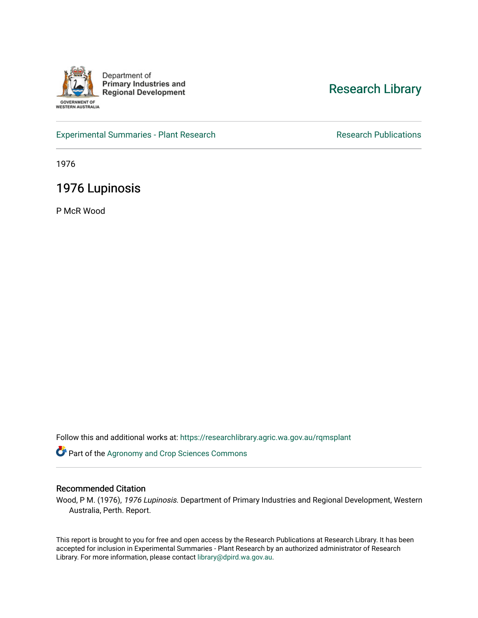

Department of **Primary Industries and Regional Development** 

WESTERN AUSTRALIA

# [Research Library](https://researchlibrary.agric.wa.gov.au/)

[Experimental Summaries - Plant Research](https://researchlibrary.agric.wa.gov.au/rqmsplant) **Research Research Rublications** Research Publications

1976

# 1976 Lupinosis

P McR Wood

Follow this and additional works at: [https://researchlibrary.agric.wa.gov.au/rqmsplant](https://researchlibrary.agric.wa.gov.au/rqmsplant?utm_source=researchlibrary.agric.wa.gov.au%2Frqmsplant%2F165&utm_medium=PDF&utm_campaign=PDFCoverPages) 

Part of the [Agronomy and Crop Sciences Commons](http://network.bepress.com/hgg/discipline/103?utm_source=researchlibrary.agric.wa.gov.au%2Frqmsplant%2F165&utm_medium=PDF&utm_campaign=PDFCoverPages) 

# Recommended Citation

Wood, P M. (1976), 1976 Lupinosis. Department of Primary Industries and Regional Development, Western Australia, Perth. Report.

This report is brought to you for free and open access by the Research Publications at Research Library. It has been accepted for inclusion in Experimental Summaries - Plant Research by an authorized administrator of Research Library. For more information, please contact [library@dpird.wa.gov.au.](mailto:library@dpird.wa.gov.au)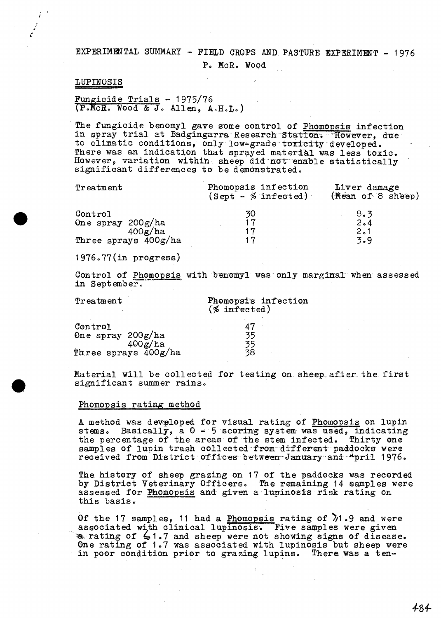# EXPERIMENTAL SUMMARY - FIELD CROPS AND PASTURE EXPERIMENT - 1976

 $\mathbf{r}$ 

P. McR. Wood

# LUPINOSIS

# Fungicide Trials -  $1975/76$ (P.McR. Wood & J. Allen, A.H.L.)

The fungicide benomyl gave some control of Phomopsis infection in spray trial at Badgingarra Research Station. However, due to climatic conditions, only low-grade toxicity developed.<br>There was an indication that sprayed material was less toxic. However, variation within sheep did not enable statistically significant differences to be demonstrated.

| Treatment                                 | Phomopsis infection<br>$(Sept - % infected)$ | Liver damage<br>(Mean of 8 sheep) |
|-------------------------------------------|----------------------------------------------|-----------------------------------|
| Control<br>One spray $200g/ha$<br>400g/ha | 30<br>17<br>17                               | 8.3<br>2.4<br>2.1                 |
| Three sprays 400g/ha                      | 17                                           | 3.9                               |

 $1976.77$ (in progress)

Control of Phomopsis with benomyl was only marginal when assessed in September.

Treatment

### Phomopsi's infection  $(\% \text{ infected})$

| Control                |    |
|------------------------|----|
| One spray $200g/ha$    | 35 |
| 400g/ha                | 35 |
| Phree sprays $400g/ha$ | 38 |

Material will be collected for testing on sheep after the first significant summer rains.

#### Phomopsis rating method

A method was developed for visual rating of Phomopsis on lupin stems. Basically, a 0 - 5 scoring system was used, indicating the percentage of the areas of the stem infected. Thirty one samples of lupin trash collected from different paddocks were received from District offices between January and April 1976.

The history of sheep grazing on 17 of the paddocks was recorded by District Veterinary Officers. The remaining 14 samples were assessed for Phomopsis and given a lupinosis risk rating on this basis.

Of the 17 samples, 11 had a Phomopsis rating of  $\lambda$ 1.9 and were associated with clinical lupinosis. Five samples were given  $\bullet$  rating of  $\leq$ 1.7 and sheep were not showing signs of disease. One rating of 1.7 was associated with lupinosis but sheep were in poor condition prior to grazing lupins. There was a ten-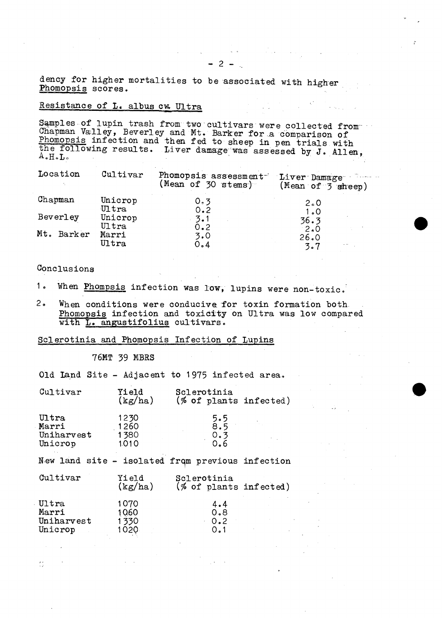dency for higher mortalities to be associated with higher Phomopsis scores.

# Resistance of L. albus cw Ultra

Samples of lupin trash from two cultivars were collected from Chapman Valley, Beverley and Mt. Barker for a comparison of<br>Phomopsis infection and then fed to sheep in pen trials with<br>the following results. Liver damage was assessed by J. Allen,  $A \cdot H \cdot L$ 

| Location   | Cultivar         | Phomopsis assessment<br>(Mean of 30 stems) | 70 i saman s<br>$\blacksquare$ Liver Damage<br>(Mean of $\overline{3}$ sheep) |
|------------|------------------|--------------------------------------------|-------------------------------------------------------------------------------|
| Chapman    | Unicrop          | 0.3                                        | $2 \degree 0$                                                                 |
|            | Ultra            | 0.2                                        | 1.0                                                                           |
| Beverley   | Unicrop<br>Ultra | 3.1<br>0.2                                 | 36.3                                                                          |
| Mt. Barker | Marri            | 3.0                                        | 2.0<br>26.0                                                                   |
|            | $U1\text{tra}$   | 0.4                                        | 3.7                                                                           |

# Conclusions

 $\frac{2}{\sqrt{2}}$ 

- $1<sub>o</sub>$ When Phompsis infection was low, lupins were non-toxic.
- $2<sub>a</sub>$ When conditions were conducive for toxin formation both. Phomopsis infection and toxicity on Ultra was low compared with L. angustifolius cultivars.

# Sclerotinia and Phomopsis Infection of Lupins

## 76MT 39 MBRS

|  |  |  |  | Old Land Site - Adjacent to 1975 infected area. |  |  |  |  |
|--|--|--|--|-------------------------------------------------|--|--|--|--|
|--|--|--|--|-------------------------------------------------|--|--|--|--|

| Cultivar                                         | Yield<br>(kg/ha)              | Sclerotinia<br>(% of plants infected)    |  |
|--------------------------------------------------|-------------------------------|------------------------------------------|--|
| Ultra<br>Marri<br>Uniharvest<br>Unicrop          | 1230<br>1260<br>1380<br>1010  | 5.5<br>8.5<br>0.3<br>0.6                 |  |
| New land site - isolated from previous infection |                               |                                          |  |
| Cultivar                                         | Yield<br>(kg/ha)              | Sclerotinia<br>$(\%$ of plants infected) |  |
| Ultra<br>Marri<br>Uniharvest<br>Unicrop          | 1070<br>1060<br>1330<br>1020. | 4.4<br>0.8<br>0.2<br>0.1                 |  |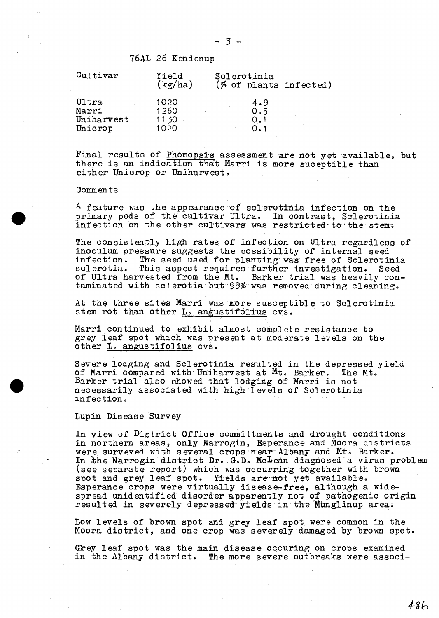# 76AL 26 Kendenup

| $\mathcal{C}$ ultivar                   | Yield<br>(kg/ha)             | Sclerotinia<br>$(\%$ of plants infected) |  |
|-----------------------------------------|------------------------------|------------------------------------------|--|
| Ultra<br>Marri<br>Uniharvest<br>Unicrop | 1020<br>1260<br>1130<br>1020 | 4.9<br>0.5                               |  |

Final results of Phomopsis assessment are not yet available, but there is an indication that Marri is more suceptible than either Unicrop or Uniharvest.

#### Comments

A feature was the appearance of sclerotinia infection on the primary pods of the cultivar Ultra. In contrast, Sclerotinia infection on the other cultivars was restricted to the stem.

The consistently high rates of infection on Ultra regardless of inoculum pressure suggests the possibility of internal seed infection. The seed used for planting was free of Sclerotinia<br>sclerotia. This aspect requires further investigation. Seed This aspect requires further investigation. Seed vested from the Mt. Barker trial was heavily conof Ultra harvested from the Mt. taminated with sclerotia but 99% was removed during cleaning.

At the three sites Marri was more susceptible to Sclerotinia stem rot than other L. angustifolius cvs.

Marri continued to exhibit almost complete resistance to grey leaf spot which was present at moderate levels on the other L. angustifolius cvs.

Severe lodging and Sclerotinia resulted in the depressed yield of Marri compared with Uniharvest at Mt. Barker. The Mt. Barker trial also showed that lodging of Marri is not necessarily associated with high levels of Sclerotinia infection.

#### Lupin Disease Survey

In view of District Office committments and drought conditions in northern areas, only Narrogin, Esperance and·Moora districts were surveyed with several crops near Albany and Mt. Barker. In the Narrogin district Dr. G.D. McLean diagnosed a virus problem (see separate report) which was occurring together with brown spot and grey leaf spot. Yields are not yet available. Esperance crops were virtually disease-free, although a widespread unidentified disorder apparently not of pathogenic origin resulted in severely depressed yields in the Munglinup area;

Low levels of brown spot and grey leaf spot were common in the Moora district, and one crop was severely damaged by brown spot.

Grey leaf spot was the main disease occuring on crops examined in the Albany district. The more severe outbreaks were associ-

*4-8b*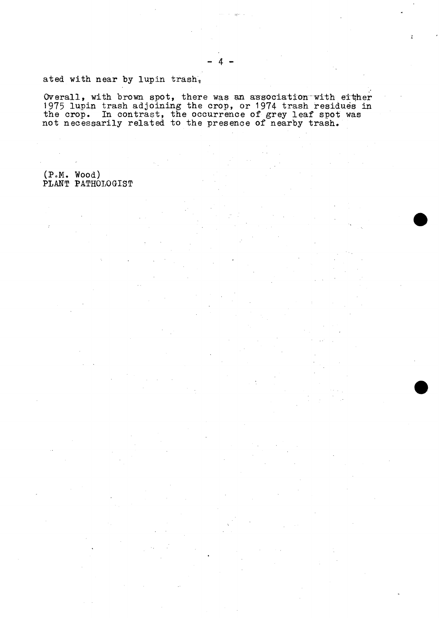# ated with near by lupin trash.

Overall, with brown spot, there was an association with either<br>1975 lupin trash adjoining the crop, or 1974 trash residues in the crop. In contrast, the occurrence of grey leaf spot was not necessarily related to the presence of nearby trash.

# (P.M. Wood)<br>PLANT PATHOLOGIST